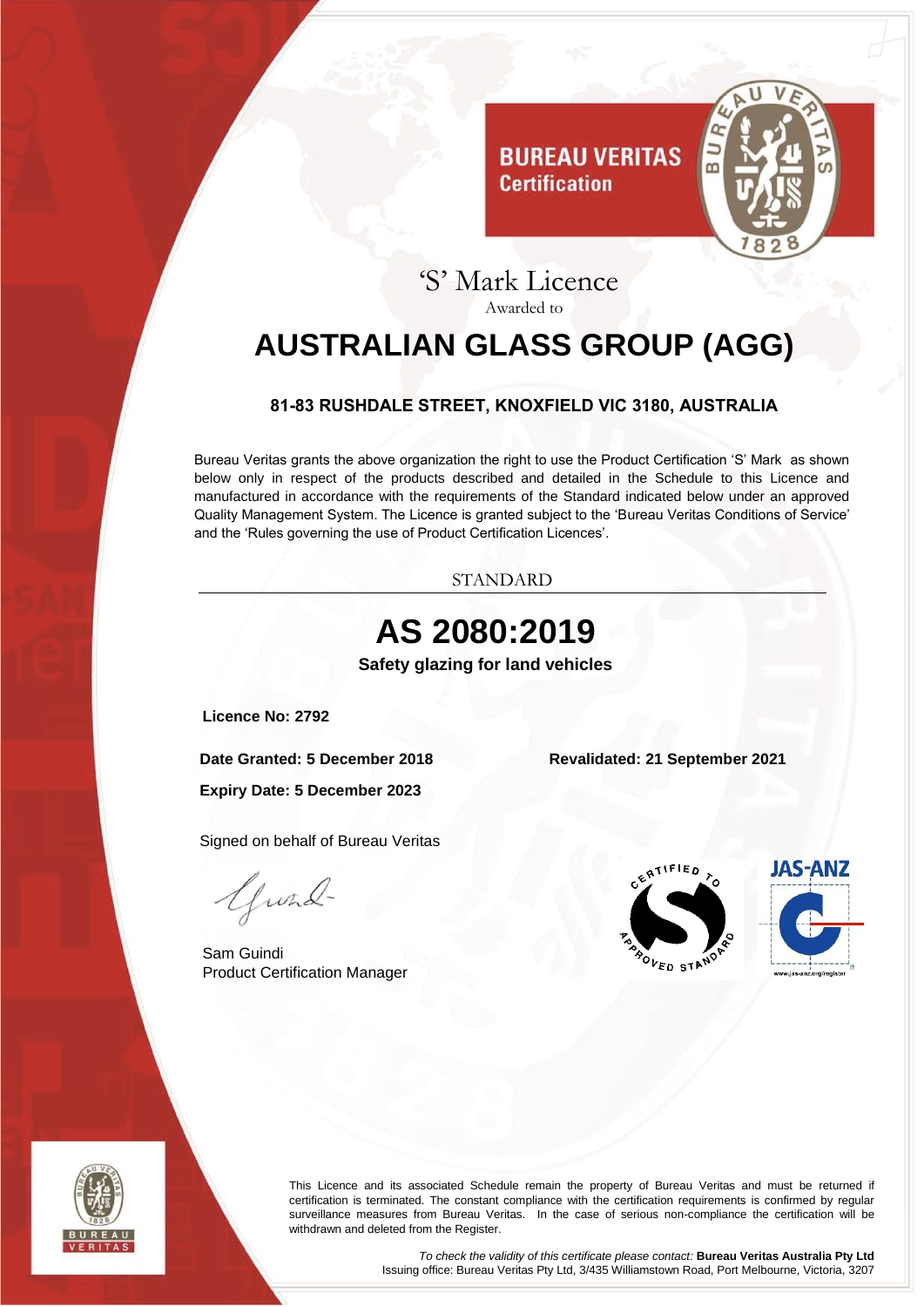

# 'S' Mark Licence Awarded to

**Certification** 

# <span id="page-0-0"></span>**AUSTRALIAN GLASS GROUP (AGG)**

### **81-83 RUSHDALE STREET, KNOXFIELD VIC 3180, AUSTRALIA**

<span id="page-0-1"></span>Bureau Veritas grants the above organization the right to use the Product Certification 'S' Mark as shown below only in respect of the products described and detailed in the Schedule to this Licence and manufactured in accordance with the requirements of the Standard indicated below under an approved Quality Management System. The Licence is granted subject to the 'Bureau Veritas Conditions of Service' and the 'Rules governing the use of Product Certification Licences'.

STANDARD

<span id="page-0-3"></span><span id="page-0-2"></span>



This Licence and its associated Schedule remain the property of Bureau Veritas and must be returned if certification is terminated. The constant compliance with the certification requirements is confirmed by regular surveillance measures from Bureau Veritas. In the case of serious non-compliance the certification will be withdrawn and deleted from the Register.

> *To check the validity of this certificate please contact:* **Bureau Veritas Australia Pty Ltd** Issuing office: Bureau Veritas Pty Ltd, 3/435 Williamstown Road, Port Melbourne, Victoria, 3207